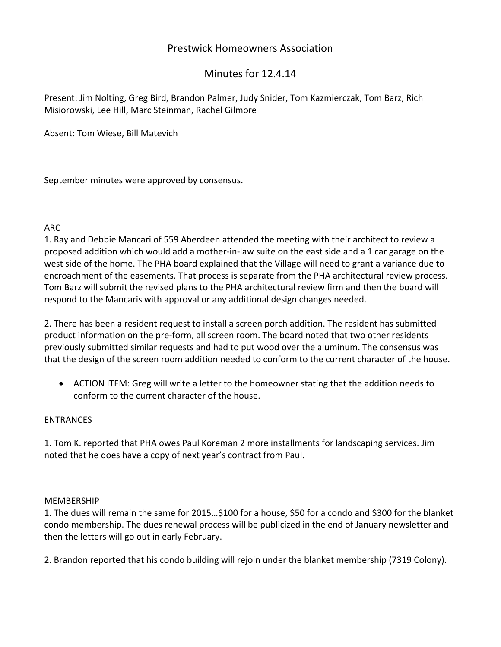## Prestwick Homeowners Association

# Minutes for 12.4.14

Present: Jim Nolting, Greg Bird, Brandon Palmer, Judy Snider, Tom Kazmierczak, Tom Barz, Rich Misiorowski, Lee Hill, Marc Steinman, Rachel Gilmore

Absent: Tom Wiese, Bill Matevich

September minutes were approved by consensus.

#### ARC

1. Ray and Debbie Mancari of 559 Aberdeen attended the meeting with their architect to review a proposed addition which would add a mother‐in‐law suite on the east side and a 1 car garage on the west side of the home. The PHA board explained that the Village will need to grant a variance due to encroachment of the easements. That process is separate from the PHA architectural review process. Tom Barz will submit the revised plans to the PHA architectural review firm and then the board will respond to the Mancaris with approval or any additional design changes needed.

2. There has been a resident request to install a screen porch addition. The resident has submitted product information on the pre‐form, all screen room. The board noted that two other residents previously submitted similar requests and had to put wood over the aluminum. The consensus was that the design of the screen room addition needed to conform to the current character of the house.

• ACTION ITEM: Greg will write a letter to the homeowner stating that the addition needs to conform to the current character of the house.

## **ENTRANCES**

1. Tom K. reported that PHA owes Paul Koreman 2 more installments for landscaping services. Jim noted that he does have a copy of next year's contract from Paul.

#### MEMBERSHIP

1. The dues will remain the same for 2015…\$100 for a house, \$50 for a condo and \$300 for the blanket condo membership. The dues renewal process will be publicized in the end of January newsletter and then the letters will go out in early February.

2. Brandon reported that his condo building will rejoin under the blanket membership (7319 Colony).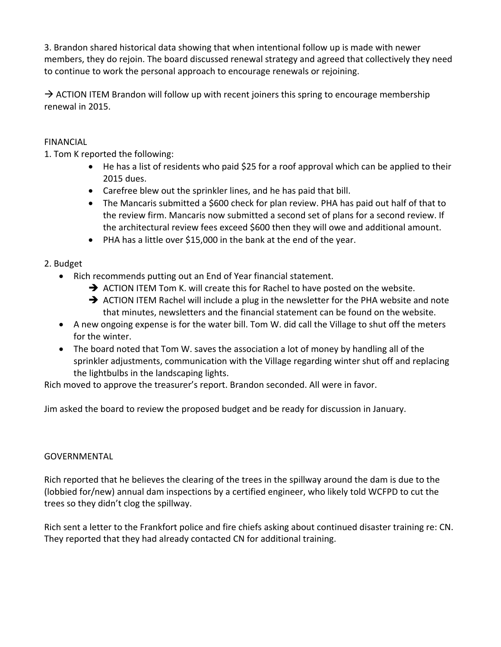3. Brandon shared historical data showing that when intentional follow up is made with newer members, they do rejoin. The board discussed renewal strategy and agreed that collectively they need to continue to work the personal approach to encourage renewals or rejoining.

 $\rightarrow$  ACTION ITEM Brandon will follow up with recent joiners this spring to encourage membership renewal in 2015.

## FINANCIAL

1. Tom K reported the following:

- He has a list of residents who paid \$25 for a roof approval which can be applied to their 2015 dues.
- Carefree blew out the sprinkler lines, and he has paid that bill.
- The Mancaris submitted a \$600 check for plan review. PHA has paid out half of that to the review firm. Mancaris now submitted a second set of plans for a second review. If the architectural review fees exceed \$600 then they will owe and additional amount.
- PHA has a little over \$15,000 in the bank at the end of the year.

## 2. Budget

- Rich recommends putting out an End of Year financial statement.
	- $\rightarrow$  ACTION ITEM Tom K. will create this for Rachel to have posted on the website.
	- $\rightarrow$  ACTION ITEM Rachel will include a plug in the newsletter for the PHA website and note that minutes, newsletters and the financial statement can be found on the website.
- A new ongoing expense is for the water bill. Tom W. did call the Village to shut off the meters for the winter.
- The board noted that Tom W. saves the association a lot of money by handling all of the sprinkler adjustments, communication with the Village regarding winter shut off and replacing the lightbulbs in the landscaping lights.

Rich moved to approve the treasurer's report. Brandon seconded. All were in favor.

Jim asked the board to review the proposed budget and be ready for discussion in January.

#### GOVERNMENTAL

Rich reported that he believes the clearing of the trees in the spillway around the dam is due to the (lobbied for/new) annual dam inspections by a certified engineer, who likely told WCFPD to cut the trees so they didn't clog the spillway.

Rich sent a letter to the Frankfort police and fire chiefs asking about continued disaster training re: CN. They reported that they had already contacted CN for additional training.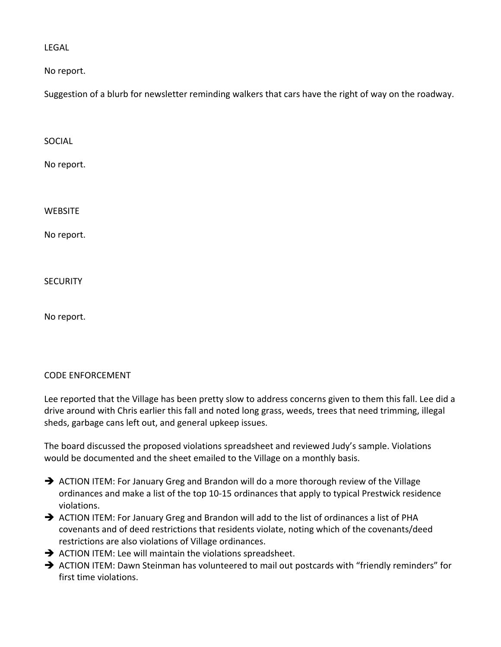LEGAL

No report.

Suggestion of a blurb for newsletter reminding walkers that cars have the right of way on the roadway.

SOCIAL

No report.

**WEBSITE** 

No report.

**SECURITY** 

No report.

#### CODE ENFORCEMENT

Lee reported that the Village has been pretty slow to address concerns given to them this fall. Lee did a drive around with Chris earlier this fall and noted long grass, weeds, trees that need trimming, illegal sheds, garbage cans left out, and general upkeep issues.

The board discussed the proposed violations spreadsheet and reviewed Judy's sample. Violations would be documented and the sheet emailed to the Village on a monthly basis.

- $\rightarrow$  ACTION ITEM: For January Greg and Brandon will do a more thorough review of the Village ordinances and make a list of the top 10‐15 ordinances that apply to typical Prestwick residence violations.
- $\rightarrow$  ACTION ITEM: For January Greg and Brandon will add to the list of ordinances a list of PHA covenants and of deed restrictions that residents violate, noting which of the covenants/deed restrictions are also violations of Village ordinances.
- $\rightarrow$  ACTION ITEM: Lee will maintain the violations spreadsheet.
- ACTION ITEM: Dawn Steinman has volunteered to mail out postcards with "friendly reminders" for first time violations.